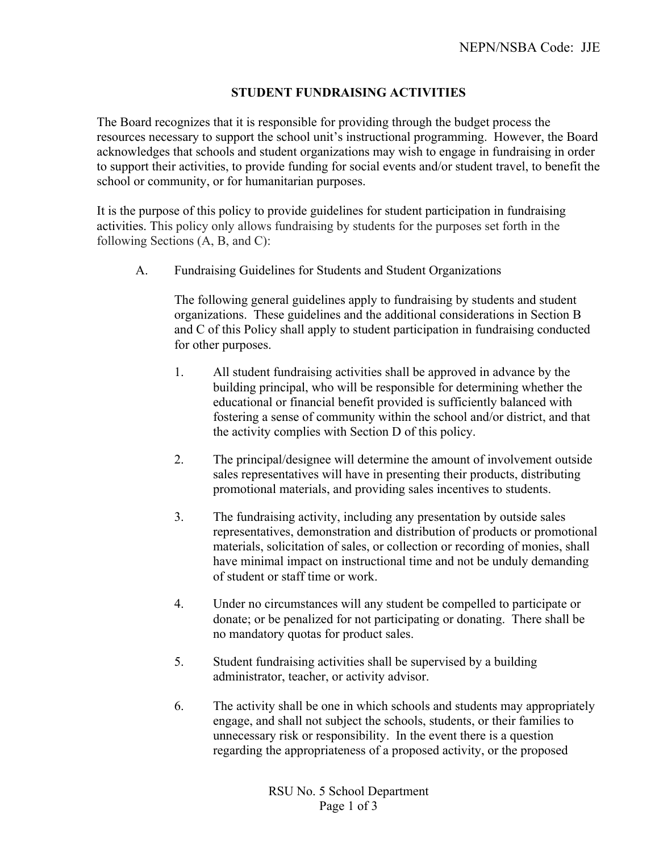## **STUDENT FUNDRAISING ACTIVITIES**

The Board recognizes that it is responsible for providing through the budget process the resources necessary to support the school unit's instructional programming. However, the Board acknowledges that schools and student organizations may wish to engage in fundraising in order to support their activities, to provide funding for social events and/or student travel, to benefit the school or community, or for humanitarian purposes.

It is the purpose of this policy to provide guidelines for student participation in fundraising activities. This policy only allows fundraising by students for the purposes set forth in the following Sections (A, B, and C):

A. Fundraising Guidelines for Students and Student Organizations

The following general guidelines apply to fundraising by students and student organizations. These guidelines and the additional considerations in Section B and C of this Policy shall apply to student participation in fundraising conducted for other purposes.

- 1. All student fundraising activities shall be approved in advance by the building principal, who will be responsible for determining whether the educational or financial benefit provided is sufficiently balanced with fostering a sense of community within the school and/or district, and that the activity complies with Section D of this policy.
- 2. The principal/designee will determine the amount of involvement outside sales representatives will have in presenting their products, distributing promotional materials, and providing sales incentives to students.
- 3. The fundraising activity, including any presentation by outside sales representatives, demonstration and distribution of products or promotional materials, solicitation of sales, or collection or recording of monies, shall have minimal impact on instructional time and not be unduly demanding of student or staff time or work.
- 4. Under no circumstances will any student be compelled to participate or donate; or be penalized for not participating or donating. There shall be no mandatory quotas for product sales.
- 5. Student fundraising activities shall be supervised by a building administrator, teacher, or activity advisor.
- 6. The activity shall be one in which schools and students may appropriately engage, and shall not subject the schools, students, or their families to unnecessary risk or responsibility. In the event there is a question regarding the appropriateness of a proposed activity, or the proposed

RSU No. 5 School Department Page 1 of 3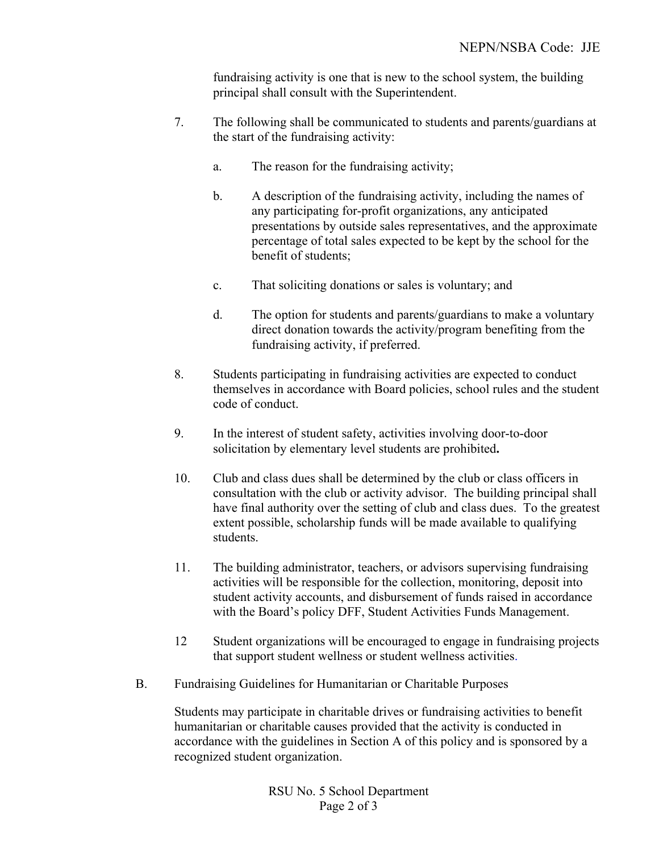fundraising activity is one that is new to the school system, the building principal shall consult with the Superintendent.

- 7. The following shall be communicated to students and parents/guardians at the start of the fundraising activity:
	- a. The reason for the fundraising activity;
	- b. A description of the fundraising activity, including the names of any participating for-profit organizations, any anticipated presentations by outside sales representatives, and the approximate percentage of total sales expected to be kept by the school for the benefit of students;
	- c. That soliciting donations or sales is voluntary; and
	- d. The option for students and parents/guardians to make a voluntary direct donation towards the activity/program benefiting from the fundraising activity, if preferred.
- 8. Students participating in fundraising activities are expected to conduct themselves in accordance with Board policies, school rules and the student code of conduct.
- 9. In the interest of student safety, activities involving door-to-door solicitation by elementary level students are prohibited**.**
- 10. Club and class dues shall be determined by the club or class officers in consultation with the club or activity advisor. The building principal shall have final authority over the setting of club and class dues. To the greatest extent possible, scholarship funds will be made available to qualifying students.
- 11. The building administrator, teachers, or advisors supervising fundraising activities will be responsible for the collection, monitoring, deposit into student activity accounts, and disbursement of funds raised in accordance with the Board's policy DFF, Student Activities Funds Management.
- 12 Student organizations will be encouraged to engage in fundraising projects that support student wellness or student wellness activities.
- B. Fundraising Guidelines for Humanitarian or Charitable Purposes

Students may participate in charitable drives or fundraising activities to benefit humanitarian or charitable causes provided that the activity is conducted in accordance with the guidelines in Section A of this policy and is sponsored by a recognized student organization.

> RSU No. 5 School Department Page 2 of 3